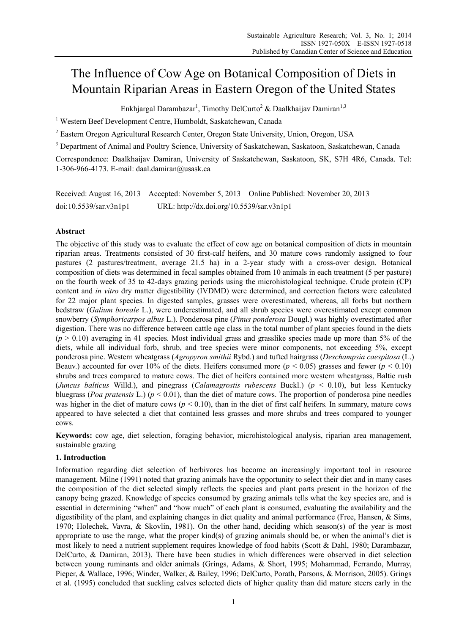# The Influence of Cow Age on Botanical Composition of Diets in Mountain Riparian Areas in Eastern Oregon of the United States

Enkhjargal Darambazar<sup>1</sup>, Timothy DelCurto<sup>2</sup> & Daalkhaijav Damiran<sup>1,3</sup>

<sup>1</sup> Western Beef Development Centre, Humboldt, Saskatchewan, Canada

<sup>2</sup> Eastern Oregon Agricultural Research Center, Oregon State University, Union, Oregon, USA

<sup>3</sup> Department of Animal and Poultry Science, University of Saskatchewan, Saskatoon, Saskatchewan, Canada

Correspondence: Daalkhaijav Damiran, University of Saskatchewan, Saskatoon, SK, S7H 4R6, Canada. Tel: 1-306-966-4173. E-mail: daal.damiran@usask.ca

|                        |                                           | Received: August 16, 2013 Accepted: November 5, 2013 Online Published: November 20, 2013 |
|------------------------|-------------------------------------------|------------------------------------------------------------------------------------------|
| doi:10.5539/sar.v3n1p1 | URL: http://dx.doi.org/10.5539/sar.v3n1p1 |                                                                                          |

# **Abstract**

The objective of this study was to evaluate the effect of cow age on botanical composition of diets in mountain riparian areas. Treatments consisted of 30 first-calf heifers, and 30 mature cows randomly assigned to four pastures (2 pastures/treatment, average 21.5 ha) in a 2-year study with a cross-over design. Botanical composition of diets was determined in fecal samples obtained from 10 animals in each treatment (5 per pasture) on the fourth week of 35 to 42-days grazing periods using the microhistological technique. Crude protein (CP) content and *in vitro* dry matter digestibility (IVDMD) were determined, and correction factors were calculated for 22 major plant species. In digested samples, grasses were overestimated, whereas, all forbs but northern bedstraw (*Galium boreale* L.), were underestimated, and all shrub species were overestimated except common snowberry (*Symphoricarpos albus* L.). Ponderosa pine (*Pinus ponderosa* Dougl.) was highly overestimated after digestion. There was no difference between cattle age class in the total number of plant species found in the diets  $(p > 0.10)$  averaging in 41 species. Most individual grass and grasslike species made up more than 5% of the diets, while all individual forb, shrub, and tree species were minor components, not exceeding 5%, except ponderosa pine. Western wheatgrass (*Agropyron smithii* Rybd.) and tufted hairgrass (*Deschampsia caespitosa* (L.) Beauv.) accounted for over 10% of the diets. Heifers consumed more ( $p < 0.05$ ) grasses and fewer ( $p < 0.10$ ) shrubs and trees compared to mature cows. The diet of heifers contained more western wheatgrass, Baltic rush (*Juncus balticus* Willd.), and pinegrass (*Calamagrostis rubescens* Buckl.) (*p* < 0.10), but less Kentucky bluegrass (*Poa pratensis* L.) ( $p < 0.01$ ), than the diet of mature cows. The proportion of ponderosa pine needles was higher in the diet of mature cows ( $p < 0.10$ ), than in the diet of first calf heifers. In summary, mature cows appeared to have selected a diet that contained less grasses and more shrubs and trees compared to younger cows.

**Keywords:** cow age, diet selection, foraging behavior, microhistological analysis, riparian area management, sustainable grazing

# **1. Introduction**

Information regarding diet selection of herbivores has become an increasingly important tool in resource management. Milne (1991) noted that grazing animals have the opportunity to select their diet and in many cases the composition of the diet selected simply reflects the species and plant parts present in the horizon of the canopy being grazed. Knowledge of species consumed by grazing animals tells what the key species are, and is essential in determining "when" and "how much" of each plant is consumed, evaluating the availability and the digestibility of the plant, and explaining changes in diet quality and animal performance (Free, Hansen, & Sims, 1970; Holechek, Vavra, & Skovlin, 1981). On the other hand, deciding which season(s) of the year is most appropriate to use the range, what the proper kind(s) of grazing animals should be, or when the animal's diet is most likely to need a nutrient supplement requires knowledge of food habits (Scott & Dahl, 1980; Darambazar, DelCurto, & Damiran, 2013). There have been studies in which differences were observed in diet selection between young ruminants and older animals (Grings, Adams, & Short, 1995; Mohammad, Ferrando, Murray, Pieper, & Wallace, 1996; Winder, Walker, & Bailey, 1996; DelCurto, Porath, Parsons, & Morrison, 2005). Grings et al. (1995) concluded that suckling calves selected diets of higher quality than did mature steers early in the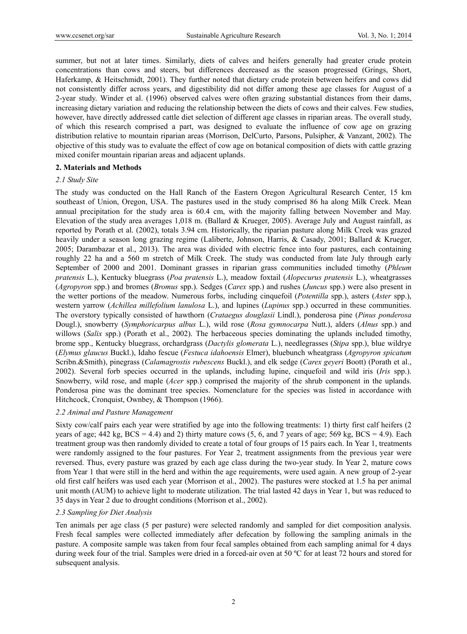summer, but not at later times. Similarly, diets of calves and heifers generally had greater crude protein concentrations than cows and steers, but differences decreased as the season progressed (Grings, Short, Haferkamp, & Heitschmidt, 2001). They further noted that dietary crude protein between heifers and cows did not consistently differ across years, and digestibility did not differ among these age classes for August of a 2-year study. Winder et al. (1996) observed calves were often grazing substantial distances from their dams, increasing dietary variation and reducing the relationship between the diets of cows and their calves. Few studies, however, have directly addressed cattle diet selection of different age classes in riparian areas. The overall study, of which this research comprised a part, was designed to evaluate the influence of cow age on grazing distribution relative to mountain riparian areas (Morrison, DelCurto, Parsons, Pulsipher, & Vanzant, 2002). The objective of this study was to evaluate the effect of cow age on botanical composition of diets with cattle grazing mixed conifer mountain riparian areas and adjacent uplands.

#### **2. Materials and Methods**

#### *2.1 Study Site*

The study was conducted on the Hall Ranch of the Eastern Oregon Agricultural Research Center, 15 km southeast of Union, Oregon, USA. The pastures used in the study comprised 86 ha along Milk Creek. Mean annual precipitation for the study area is 60.4 cm, with the majority falling between November and May. Elevation of the study area averages 1,018 m. (Ballard & Krueger, 2005). Average July and August rainfall, as reported by Porath et al. (2002), totals 3.94 cm. Historically, the riparian pasture along Milk Creek was grazed heavily under a season long grazing regime (Laliberte, Johnson, Harris, & Casady, 2001; Ballard & Krueger, 2005; Darambazar et al., 2013). The area was divided with electric fence into four pastures, each containing roughly 22 ha and a 560 m stretch of Milk Creek. The study was conducted from late July through early September of 2000 and 2001. Dominant grasses in riparian grass communities included timothy (*Phleum pratensis* L.), Kentucky bluegrass (*Poa pratensis* L.), meadow foxtail (*Alopecurus pratensis* L.), wheatgrasses (*Agropyron* spp.) and bromes (*Bromus* spp.). Sedges (*Carex* spp.) and rushes (*Juncus* spp.) were also present in the wetter portions of the meadow. Numerous forbs, including cinquefoil (*Potentilla* spp.), asters (*Aster* spp.), western yarrow (*Achillea millefolium lanulosa* L.), and lupines (*Lupinus* spp.) occurred in these communities. The overstory typically consisted of hawthorn (*Crataegus douglasii* Lindl.), ponderosa pine (*Pinus ponderosa* Dougl.), snowberry (*Symphoricarpus albus* L.), wild rose (*Rosa gymnocarpa* Nutt.), alders (*Alnus* spp.) and willows (*Salix* spp.) (Porath et al., 2002). The herbaceous species dominating the uplands included timothy, brome spp., Kentucky bluegrass, orchardgrass (*Dactylis glomerata* L.), needlegrasses (*Stipa* spp.), blue wildrye (*Elymus glaucus* Buckl.), Idaho fescue (*Festuca idahoensis* Elmer), bluebunch wheatgrass (*Agropyron spicatum* Scribn.&Smith), pinegrass (*Calamagrostis rubescens* Buckl.), and elk sedge (*Carex geyeri* Boott) (Porath et al., 2002). Several forb species occurred in the uplands, including lupine, cinquefoil and wild iris (*Iris* spp.). Snowberry, wild rose, and maple (*Acer* spp.) comprised the majority of the shrub component in the uplands. Ponderosa pine was the dominant tree species. Nomenclature for the species was listed in accordance with Hitchcock, Cronquist, Ownbey, & Thompson (1966).

#### *2.2 Animal and Pasture Management*

Sixty cow/calf pairs each year were stratified by age into the following treatments: 1) thirty first calf heifers (2 years of age;  $442 \text{ kg}$ ,  $BCS = 4.4$ ) and 2) thirty mature cows  $(5, 6,$  and 7 years of age;  $569 \text{ kg}$ ,  $BCS = 4.9$ ). Each treatment group was then randomly divided to create a total of four groups of 15 pairs each. In Year 1, treatments were randomly assigned to the four pastures. For Year 2, treatment assignments from the previous year were reversed. Thus, every pasture was grazed by each age class during the two-year study. In Year 2, mature cows from Year 1 that were still in the herd and within the age requirements, were used again. A new group of 2-year old first calf heifers was used each year (Morrison et al., 2002). The pastures were stocked at 1.5 ha per animal unit month (AUM) to achieve light to moderate utilization. The trial lasted 42 days in Year 1, but was reduced to 35 days in Year 2 due to drought conditions (Morrison et al., 2002).

### *2.3 Sampling for Diet Analysis*

Ten animals per age class (5 per pasture) were selected randomly and sampled for diet composition analysis. Fresh fecal samples were collected immediately after defecation by following the sampling animals in the pasture. A composite sample was taken from four fecal samples obtained from each sampling animal for 4 days during week four of the trial. Samples were dried in a forced-air oven at 50 ºC for at least 72 hours and stored for subsequent analysis.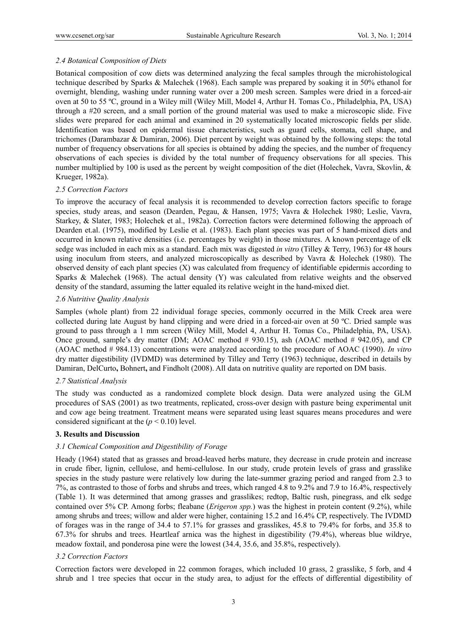# *2.4 Botanical Composition of Diets*

Botanical composition of cow diets was determined analyzing the fecal samples through the microhistological technique described by Sparks & Malechek (1968). Each sample was prepared by soaking it in 50% ethanol for overnight, blending, washing under running water over a 200 mesh screen. Samples were dried in a forced-air oven at 50 to 55 ºC, ground in a Wiley mill (Wiley Mill, Model 4, Arthur H. Tomas Co., Philadelphia, PA, USA) through a #20 screen, and a small portion of the ground material was used to make a microscopic slide. Five slides were prepared for each animal and examined in 20 systematically located microscopic fields per slide. Identification was based on epidermal tissue characteristics, such as guard cells, stomata, cell shape, and trichomes (Darambazar & Damiran, 2006). Diet percent by weight was obtained by the following steps: the total number of frequency observations for all species is obtained by adding the species, and the number of frequency observations of each species is divided by the total number of frequency observations for all species. This number multiplied by 100 is used as the percent by weight composition of the diet (Holechek, Vavra, Skovlin, & Krueger, 1982a).

## *2.5 Correction Factors*

To improve the accuracy of fecal analysis it is recommended to develop correction factors specific to forage species, study areas, and season (Dearden, Pegau, & Hansen, 1975; Vavra & Holechek 1980; Leslie, Vavra, Starkey, & Slater, 1983; Holechek et al., 1982a). Correction factors were determined following the approach of Dearden et.al. (1975), modified by Leslie et al. (1983). Each plant species was part of 5 hand-mixed diets and occurred in known relative densities (i.e. percentages by weight) in those mixtures. A known percentage of elk sedge was included in each mix as a standard. Each mix was digested *in vitro* (Tilley & Terry, 1963) for 48 hours using inoculum from steers, and analyzed microscopically as described by Vavra & Holechek (1980). The observed density of each plant species (X) was calculated from frequency of identifiable epidermis according to Sparks & Malechek (1968). The actual density (Y) was calculated from relative weights and the observed density of the standard, assuming the latter equaled its relative weight in the hand-mixed diet.

## *2.6 Nutritive Quality Analysis*

Samples (whole plant) from 22 individual forage species, commonly occurred in the Milk Creek area were collected during late August by hand clipping and were dried in a forced-air oven at 50 ºC. Dried sample was ground to pass through a 1 mm screen (Wiley Mill, Model 4, Arthur H. Tomas Co., Philadelphia, PA, USA). Once ground, sample's dry matter (DM; AOAC method # 930.15), ash (AOAC method # 942.05), and CP (AOAC method # 984.13) concentrations were analyzed according to the procedure of AOAC (1990). *In vitro* dry matter digestibility (IVDMD) was determined by Tilley and Terry (1963) technique, described in details by Damiran, DelCurto**,** Bohnert**,** and Findholt (2008). All data on nutritive quality are reported on DM basis.

# *2.7 Statistical Analysis*

The study was conducted as a randomized complete block design. Data were analyzed using the GLM procedures of SAS (2001) as two treatments, replicated, cross-over design with pasture being experimental unit and cow age being treatment. Treatment means were separated using least squares means procedures and were considered significant at the  $(p < 0.10)$  level.

# **3. Results and Discussion**

# *3.1 Chemical Composition and Digestibility of Forage*

Heady (1964) stated that as grasses and broad-leaved herbs mature, they decrease in crude protein and increase in crude fiber, lignin, cellulose, and hemi-cellulose. In our study, crude protein levels of grass and grasslike species in the study pasture were relatively low during the late-summer grazing period and ranged from 2.3 to 7%, as contrasted to those of forbs and shrubs and trees, which ranged 4.8 to 9.2% and 7.9 to 16.4%, respectively (Table 1). It was determined that among grasses and grasslikes; redtop, Baltic rush, pinegrass, and elk sedge contained over 5% CP. Among forbs; fleabane (*Erigeron spp.*) was the highest in protein content (9.2%), while among shrubs and trees; willow and alder were higher, containing 15.2 and 16.4% CP, respectively. The IVDMD of forages was in the range of 34.4 to 57.1% for grasses and grasslikes, 45.8 to 79.4% for forbs, and 35.8 to 67.3% for shrubs and trees. Heartleaf arnica was the highest in digestibility (79.4%), whereas blue wildrye, meadow foxtail, and ponderosa pine were the lowest (34.4, 35.6, and 35.8%, respectively).

# *3.2 Correction Factors*

Correction factors were developed in 22 common forages, which included 10 grass, 2 grasslike, 5 forb, and 4 shrub and 1 tree species that occur in the study area, to adjust for the effects of differential digestibility of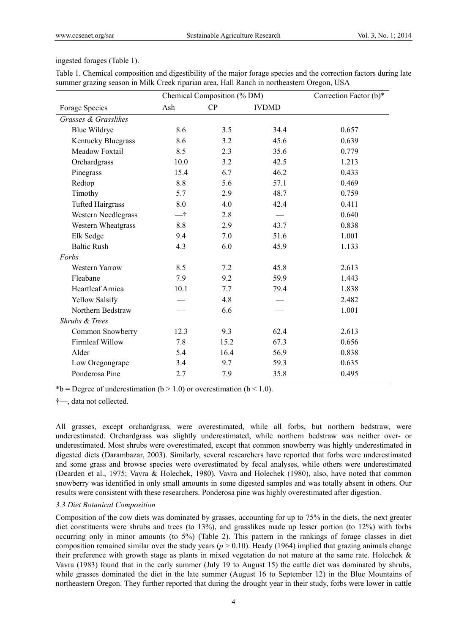#### ingested forages (Table 1).

|                         | Chemical Composition (% DM) |      |              | Correction Factor (b)* |
|-------------------------|-----------------------------|------|--------------|------------------------|
| Forage Species          | Ash                         | CP   | <b>IVDMD</b> |                        |
| Grasses & Grasslikes    |                             |      |              |                        |
| <b>Blue Wildrye</b>     | 8.6                         | 3.5  | 34.4         | 0.657                  |
| Kentucky Bluegrass      | 8.6                         | 3.2  | 45.6         | 0.639                  |
| Meadow Foxtail          | 8.5                         | 2.3  | 35.6         | 0.779                  |
| Orchardgrass            | 10.0                        | 3.2  | 42.5         | 1.213                  |
| Pinegrass               | 15.4                        | 6.7  | 46.2         | 0.433                  |
| Redtop                  | 8.8                         | 5.6  | 57.1         | 0.469                  |
| Timothy                 | 5.7                         | 2.9  | 48.7         | 0.759                  |
| <b>Tufted Hairgrass</b> | 8.0                         | 4.0  | 42.4         | 0.411                  |
| Western Needlegrass     | 一†                          | 2.8  |              | 0.640                  |
| Western Wheatgrass      | 8.8                         | 2.9  | 43.7         | 0.838                  |
| Elk Sedge               | 9.4                         | 7.0  | 51.6         | 1.001                  |
| <b>Baltic Rush</b>      | 4.3                         | 6.0  | 45.9         | 1.133                  |
| Forbs                   |                             |      |              |                        |
| <b>Western Yarrow</b>   | 8.5                         | 7.2  | 45.8         | 2.613                  |
| Fleabane                | 7.9                         | 9.2  | 59.9         | 1.443                  |
| Heartleaf Arnica        | 10.1                        | 7.7  | 79.4         | 1.838                  |
| Yellow Salsify          |                             | 4.8  |              | 2.482                  |
| Northern Bedstraw       |                             | 6.6  |              | 1.001                  |
| Shrubs & Trees          |                             |      |              |                        |
| Common Snowberry        | 12.3                        | 9.3  | 62.4         | 2.613                  |
| Firmleaf Willow         | 7.8                         | 15.2 | 67.3         | 0.656                  |
| Alder                   | 5.4                         | 16.4 | 56.9         | 0.838                  |
| Low Oregongrape         | 3.4                         | 9.7  | 59.3         | 0.635                  |
| Ponderosa Pine          | 2.7                         | 7.9  | 35.8         | 0.495                  |

Table 1. Chemical composition and digestibility of the major forage species and the correction factors during late summer grazing season in Milk Creek riparian area, Hall Ranch in northeastern Oregon, USA

\*b = Degree of underestimation (b > 1.0) or overestimation (b < 1.0).

†—, data not collected.

All grasses, except orchardgrass, were overestimated, while all forbs, but northern bedstraw, were underestimated. Orchardgrass was slightly underestimated, while northern bedstraw was neither over- or underestimated. Most shrubs were overestimated, except that common snowberry was highly underestimated in digested diets (Darambazar, 2003). Similarly, several researchers have reported that forbs were underestimated and some grass and browse species were overestimated by fecal analyses, while others were underestimated (Dearden et al., 1975; Vavra & Holechek, 1980). Vavra and Holechek (1980), also, have noted that common snowberry was identified in only small amounts in some digested samples and was totally absent in others. Our results were consistent with these researchers. Ponderosa pine was highly overestimated after digestion.

#### *3.3 Diet Botanical Composition*

Composition of the cow diets was dominated by grasses, accounting for up to 75% in the diets, the next greater diet constituents were shrubs and trees (to 13%), and grasslikes made up lesser portion (to 12%) with forbs occurring only in minor amounts (to 5%) (Table 2). This pattern in the rankings of forage classes in diet composition remained similar over the study years ( $p > 0.10$ ). Heady (1964) implied that grazing animals change their preference with growth stage as plants in mixed vegetation do not mature at the same rate. Holechek & Vavra (1983) found that in the early summer (July 19 to August 15) the cattle diet was dominated by shrubs, while grasses dominated the diet in the late summer (August 16 to September 12) in the Blue Mountains of northeastern Oregon. They further reported that during the drought year in their study, forbs were lower in cattle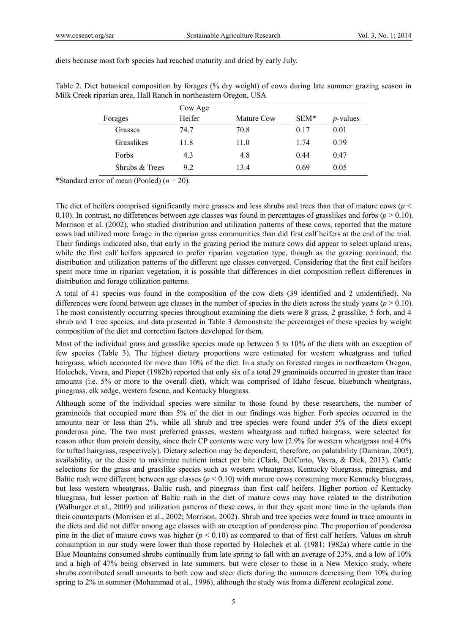Table 2. Diet botanical composition by forages (% dry weight) of cows during late summer grazing season in

|                   | Milk Creek riparian area, Hall Ranch in northeastern Oregon, USA |             |      |                  |
|-------------------|------------------------------------------------------------------|-------------|------|------------------|
|                   | Cow Age                                                          |             |      |                  |
| Forages           | Heifer                                                           | Mature Cow  | SEM* | <i>p</i> -values |
| Grasses           | 74.7                                                             | 70.8        | 0.17 | 0.01             |
| <b>Grasslikes</b> | 11.8                                                             | 11 $\theta$ | 1 74 | 0.79             |
|                   |                                                                  |             |      |                  |

Forbs 4.3 4.8 0.44 0.47 Shrubs & Trees 9.2 13.4 0.69 0.05

diets because most forb species had reached maturity and dried by early July.

\*Standard error of mean (Pooled) (*n* = 20).

The diet of heifers comprised significantly more grasses and less shrubs and trees than that of mature cows (*p* < 0.10). In contrast, no differences between age classes was found in percentages of grasslikes and forbs  $(p > 0.10)$ . Morrison et al. (2002), who studied distribution and utilization patterns of these cows, reported that the mature cows had utilized more forage in the riparian grass communities than did first calf heifers at the end of the trial. Their findings indicated also, that early in the grazing period the mature cows did appear to select upland areas, while the first calf heifers appeared to prefer riparian vegetation type, though as the grazing continued, the distribution and utilization patterns of the different age classes converged. Considering that the first calf heifers spent more time in riparian vegetation, it is possible that differences in diet composition reflect differences in distribution and forage utilization patterns.

A total of 41 species was found in the composition of the cow diets (39 identified and 2 unidentified). No differences were found between age classes in the number of species in the diets across the study years ( $p > 0.10$ ). The most consistently occurring species throughout examining the diets were 8 grass, 2 grasslike, 5 forb, and 4 shrub and 1 tree species, and data presented in Table 3 demonstrate the percentages of these species by weight composition of the diet and correction factors developed for them.

Most of the individual grass and grasslike species made up between 5 to 10% of the diets with an exception of few species (Table 3). The highest dietary proportions were estimated for western wheatgrass and tufted hairgrass, which accounted for more than 10% of the diet. In a study on forested ranges in northeastern Oregon, Holechek, Vavra, and Pieper (1982b) reported that only six of a total 29 graminoids occurred in greater than trace amounts (i.e. 5% or more to the overall diet), which was comprised of Idaho fescue, bluebunch wheatgrass, pinegrass, elk sedge, western fescue, and Kentucky bluegrass.

Although some of the individual species were similar to those found by these researchers, the number of graminoids that occupied more than 5% of the diet in our findings was higher. Forb species occurred in the amounts near or less than 2%, while all shrub and tree species were found under 5% of the diets except ponderosa pine. The two most preferred grasses, western wheatgrass and tufted hairgrass, were selected for reason other than protein density, since their CP contents were very low (2.9% for western wheatgrass and 4.0% for tufted hairgrass, respectively). Dietary selection may be dependent, therefore, on palatability (Damiran, 2005), availability, or the desire to maximize nutrient intact per bite (Clark, DelCurto, Vavra, & Dick, 2013). Cattle selections for the grass and grasslike species such as western wheatgrass, Kentucky bluegrass, pinegrass, and Baltic rush were different between age classes (*p* < 0.10) with mature cows consuming more Kentucky bluegrass, but less western wheatgrass, Baltic rush, and pinegrass than first calf heifers. Higher portion of Kentucky bluegrass, but lesser portion of Baltic rush in the diet of mature cows may have related to the distribution (Walburger et al., 2009) and utilization patterns of these cows, in that they spent more time in the uplands than their counterparts (Morrison et al., 2002; Morrison, 2002). Shrub and tree species were found in trace amounts in the diets and did not differ among age classes with an exception of ponderosa pine. The proportion of ponderosa pine in the diet of mature cows was higher ( $p < 0.10$ ) as compared to that of first calf heifers. Values on shrub consumption in our study were lower than those reported by Holechek et al. (1981; 1982a) where cattle in the Blue Mountains consumed shrubs continually from late spring to fall with an average of 23%, and a low of 10% and a high of 47% being observed in late summers, but were closer to those in a New Mexico study, where shrubs contributed small amounts to both cow and steer diets during the summers decreasing from 10% during spring to 2% in summer (Mohammad et al., 1996), although the study was from a different ecological zone.

5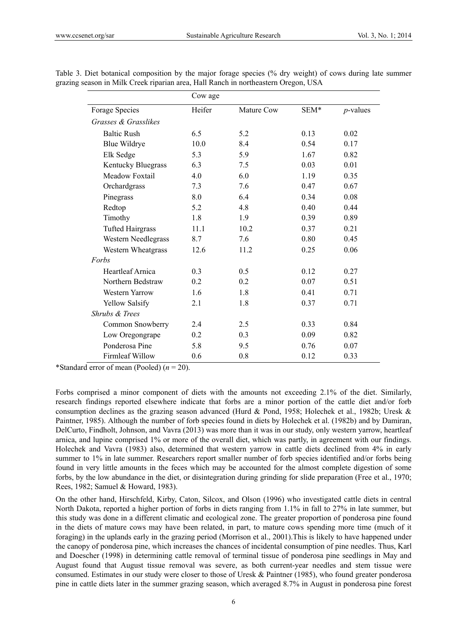|                           | Cow age |            |      |             |
|---------------------------|---------|------------|------|-------------|
| Forage Species            | Heifer  | Mature Cow | SEM* | $p$ -values |
| Grasses & Grasslikes      |         |            |      |             |
| <b>Baltic Rush</b>        | 6.5     | 5.2        | 0.13 | 0.02        |
| <b>Blue Wildrye</b>       | 10.0    | 8.4        | 0.54 | 0.17        |
| Elk Sedge                 | 5.3     | 5.9        | 1.67 | 0.82        |
| Kentucky Bluegrass        | 6.3     | 7.5        | 0.03 | 0.01        |
| Meadow Foxtail            | 4.0     | 6.0        | 1.19 | 0.35        |
| Orchardgrass              | 7.3     | 7.6        | 0.47 | 0.67        |
| Pinegrass                 | 8.0     | 6.4        | 0.34 | 0.08        |
| Redtop                    | 5.2     | 4.8        | 0.40 | 0.44        |
| Timothy                   | 1.8     | 1.9        | 0.39 | 0.89        |
| <b>Tufted Hairgrass</b>   | 11.1    | 10.2       | 0.37 | 0.21        |
| Western Needlegrass       | 8.7     | 7.6        | 0.80 | 0.45        |
| Western Wheatgrass        | 12.6    | 11.2       | 0.25 | 0.06        |
| Forbs                     |         |            |      |             |
| Heartleaf Arnica          | 0.3     | 0.5        | 0.12 | 0.27        |
| Northern Bedstraw         | 0.2     | 0.2        | 0.07 | 0.51        |
| Western Yarrow            | 1.6     | 1.8        | 0.41 | 0.71        |
| <b>Yellow Salsify</b>     | 2.1     | 1.8        | 0.37 | 0.71        |
| <b>Shrubs &amp; Trees</b> |         |            |      |             |
| Common Snowberry          | 2.4     | 2.5        | 0.33 | 0.84        |
| Low Oregongrape           | 0.2     | 0.3        | 0.09 | 0.82        |
| Ponderosa Pine            | 5.8     | 9.5        | 0.76 | 0.07        |
| <b>Firmleaf Willow</b>    | 0.6     | 0.8        | 0.12 | 0.33        |

Table 3. Diet botanical composition by the major forage species (% dry weight) of cows during late summer grazing season in Milk Creek riparian area, Hall Ranch in northeastern Oregon, USA

\*Standard error of mean (Pooled) (*n* = 20).

Forbs comprised a minor component of diets with the amounts not exceeding 2.1% of the diet. Similarly, research findings reported elsewhere indicate that forbs are a minor portion of the cattle diet and/or forb consumption declines as the grazing season advanced (Hurd & Pond, 1958; Holechek et al., 1982b; Uresk & Paintner, 1985). Although the number of forb species found in diets by Holechek et al. (1982b) and by Damiran, DelCurto, Findholt, Johnson, and Vavra (2013) was more than it was in our study, only western yarrow, heartleaf arnica, and lupine comprised 1% or more of the overall diet, which was partly, in agreement with our findings. Holechek and Vavra (1983) also, determined that western yarrow in cattle diets declined from 4% in early summer to 1% in late summer. Researchers report smaller number of forb species identified and/or forbs being found in very little amounts in the feces which may be accounted for the almost complete digestion of some forbs, by the low abundance in the diet, or disintegration during grinding for slide preparation (Free et al., 1970; Rees, 1982; Samuel & Howard, 1983).

On the other hand, Hirschfeld, Kirby, Caton, Silcox, and Olson (1996) who investigated cattle diets in central North Dakota, reported a higher portion of forbs in diets ranging from 1.1% in fall to 27% in late summer, but this study was done in a different climatic and ecological zone. The greater proportion of ponderosa pine found in the diets of mature cows may have been related, in part, to mature cows spending more time (much of it foraging) in the uplands early in the grazing period (Morrison et al., 2001).This is likely to have happened under the canopy of ponderosa pine, which increases the chances of incidental consumption of pine needles. Thus, Karl and Doescher (1998) in determining cattle removal of terminal tissue of ponderosa pine seedlings in May and August found that August tissue removal was severe, as both current-year needles and stem tissue were consumed. Estimates in our study were closer to those of Uresk & Paintner (1985), who found greater ponderosa pine in cattle diets later in the summer grazing season, which averaged 8.7% in August in ponderosa pine forest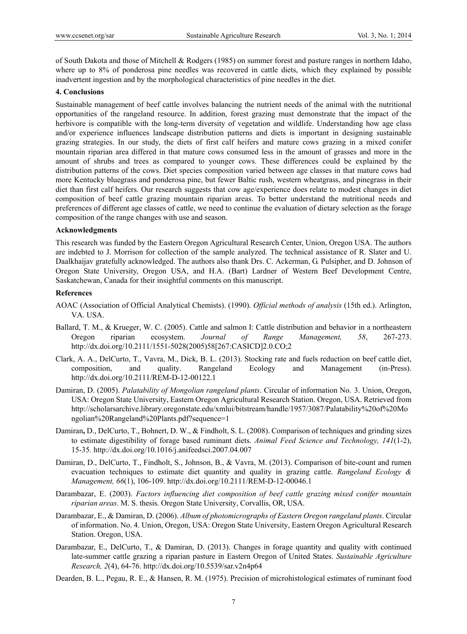of South Dakota and those of Mitchell & Rodgers (1985) on summer forest and pasture ranges in northern Idaho, where up to 8% of ponderosa pine needles was recovered in cattle diets, which they explained by possible inadvertent ingestion and by the morphological characteristics of pine needles in the diet.

#### **4. Conclusions**

Sustainable management of beef cattle involves balancing the nutrient needs of the animal with the nutritional opportunities of the rangeland resource. In addition, forest grazing must demonstrate that the impact of the herbivore is compatible with the long-term diversity of vegetation and wildlife. Understanding how age class and/or experience influences landscape distribution patterns and diets is important in designing sustainable grazing strategies. In our study, the diets of first calf heifers and mature cows grazing in a mixed conifer mountain riparian area differed in that mature cows consumed less in the amount of grasses and more in the amount of shrubs and trees as compared to younger cows. These differences could be explained by the distribution patterns of the cows. Diet species composition varied between age classes in that mature cows had more Kentucky bluegrass and ponderosa pine, but fewer Baltic rush, western wheatgrass, and pinegrass in their diet than first calf heifers. Our research suggests that cow age/experience does relate to modest changes in diet composition of beef cattle grazing mountain riparian areas. To better understand the nutritional needs and preferences of different age classes of cattle, we need to continue the evaluation of dietary selection as the forage composition of the range changes with use and season.

#### **Acknowledgments**

This research was funded by the Eastern Oregon Agricultural Research Center, Union, Oregon USA. The authors are indebted to J. Morrison for collection of the sample analyzed. The technical assistance of R. Slater and U. Daalkhaijav gratefully acknowledged. The authors also thank Drs. C. Ackerman, G. Pulsipher, and D. Johnson of Oregon State University, Oregon USA, and H.A. (Bart) Lardner of Western Beef Development Centre, Saskatchewan, Canada for their insightful comments on this manuscript.

#### **References**

- AOAC (Association of Official Analytical Chemists). (1990). *Official methods of analysis* (15th ed.). Arlington, VA. USA.
- Ballard, T. M., & Krueger, W. C. (2005). Cattle and salmon I: Cattle distribution and behavior in a northeastern Oregon riparian ecosystem. *Journal of Range Management, 58*, 267-273. http://dx.doi.org/10.2111/1551-5028(2005)58[267:CASICD]2.0.CO;2
- Clark, A. A., DelCurto, T., Vavra, M., Dick, B. L. (2013). Stocking rate and fuels reduction on beef cattle diet, composition, and quality. Rangeland Ecology and Management (in-Press). http://dx.doi.org/10.2111/REM-D-12-00122.1
- Damiran, D. (2005). *Palatability of Mongolian rangeland plants*. Circular of information No. 3. Union, Oregon, USA: Oregon State University, Eastern Oregon Agricultural Research Station. Oregon, USA. Retrieved from http://scholarsarchive.library.oregonstate.edu/xmlui/bitstream/handle/1957/3087/Palatability%20of%20Mo ngolian%20Rangeland%20Plants.pdf?sequence=1
- Damiran**,** D., DelCurto, T., Bohnert, D. W., & Findholt, S. L. (2008). Comparison of techniques and grinding sizes to estimate digestibility of forage based ruminant diets. *Animal Feed Science and Technology, 141*(1-2), 15-35*.* http://dx.doi.org/10.1016/j.anifeedsci.2007.04.007
- Damiran, D., DelCurto, T., Findholt, S., Johnson, B., & Vavra, M. (2013). Comparison of bite-count and rumen evacuation techniques to estimate diet quantity and quality in grazing cattle. *Rangeland Ecology & Management, 66*(1), 106-109. http://dx.doi.org/10.2111/REM-D-12-00046.1
- Darambazar, E. (2003). *Factors influencing diet composition of beef cattle grazing mixed conifer mountain riparian areas*. M. S. thesis. Oregon State University, Corvallis, OR, USA.
- Darambazar, E., & Damiran, D. (2006). *Album of photomicrographs of Eastern Oregon rangeland plants*. Circular of information. No. 4. Union, Oregon, USA: Oregon State University, Eastern Oregon Agricultural Research Station. Oregon, USA.
- Darambazar, E., DelCurto, T., & Damiran, D. (2013). Changes in forage quantity and quality with continued late-summer cattle grazing a riparian pasture in Eastern Oregon of United States. *Sustainable Agriculture Research, 2*(4), 64-76. http://dx.doi.org/10.5539/sar.v2n4p64
- Dearden, B. L., Pegau, R. E., & Hansen, R. M. (1975). Precision of microhistological estimates of ruminant food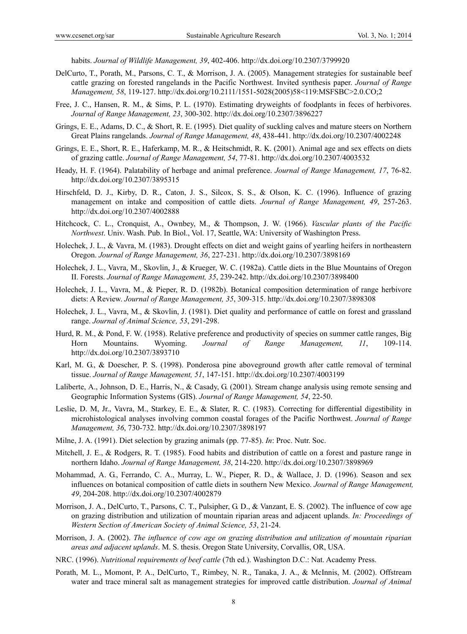habits. *Journal of Wildlife Management, 39*, 402-406. http://dx.doi.org/10.2307/3799920

- DelCurto, T., Porath, M., Parsons, C. T., & Morrison, J. A. (2005). Management strategies for sustainable beef cattle grazing on forested rangelands in the Pacific Northwest. Invited synthesis paper. *Journal of Range Management, 58*, 119-127. http://dx.doi.org/10.2111/1551-5028(2005)58<119:MSFSBC>2.0.CO;2
- Free, J. C., Hansen, R. M., & Sims, P. L. (1970). Estimating dryweights of foodplants in feces of herbivores. *Journal of Range Management, 23*, 300-302. http://dx.doi.org/10.2307/3896227
- Grings, E. E., Adams, D. C., & Short, R. E. (1995). Diet quality of suckling calves and mature steers on Northern Great Plains rangelands. *Journal of Range Management, 48*, 438-441. http://dx.doi.org/10.2307/4002248
- Grings, E. E., Short, R. E., Haferkamp, M. R., & Heitschmidt, R. K. (2001). Animal age and sex effects on diets of grazing cattle. *Journal of Range Management, 54*, 77-81. http://dx.doi.org/10.2307/4003532
- Heady, H. F. (1964). Palatability of herbage and animal preference. *Journal of Range Management, 17*, 76-82. http://dx.doi.org/10.2307/3895315
- Hirschfeld, D. J., Kirby, D. R., Caton, J. S., Silcox, S. S., & Olson, K. C. (1996). Influence of grazing management on intake and composition of cattle diets. *Journal of Range Management, 49*, 257-263. http://dx.doi.org/10.2307/4002888
- Hitchcock, C. L., Cronquist, A., Ownbey, M., & Thompson, J. W. (1966). *Vascular plants of the Pacific Northwest*. Univ. Wash. Pub. In Biol., Vol. 17, Seattle, WA: University of Washington Press.
- Holechek, J. L., & Vavra, M. (1983). Drought effects on diet and weight gains of yearling heifers in northeastern Oregon. *Journal of Range Management, 36*, 227-231. http://dx.doi.org/10.2307/3898169
- Holechek, J. L., Vavra, M., Skovlin, J., & Krueger, W. C. (1982a). Cattle diets in the Blue Mountains of Oregon II. Forests. *Journal of Range Management, 35*, 239-242. http://dx.doi.org/10.2307/3898400
- Holechek, J. L., Vavra, M., & Pieper, R. D. (1982b). Botanical composition determination of range herbivore diets: A Review. *Journal of Range Management, 35*, 309-315. http://dx.doi.org/10.2307/3898308
- Holechek, J. L., Vavra, M., & Skovlin, J. (1981). Diet quality and performance of cattle on forest and grassland range. *Journal of Animal Science, 53*, 291-298.
- Hurd, R. M., & Pond, F. W. (1958). Relative preference and productivity of species on summer cattle ranges, Big Horn Mountains. Wyoming. *Journal of Range Management, 11*, 109-114. http://dx.doi.org/10.2307/3893710
- Karl, M. G., & Doescher, P. S. (1998). Ponderosa pine aboveground growth after cattle removal of terminal tissue. *Journal of Range Management, 51*, 147-151. http://dx.doi.org/10.2307/4003199
- Laliberte, A., Johnson, D. E., Harris, N., & Casady, G. (2001). Stream change analysis using remote sensing and Geographic Information Systems (GIS). *Journal of Range Management, 54*, 22-50.
- Leslie, D. M, Jr., Vavra, M., Starkey, E. E., & Slater, R. C. (1983). Correcting for differential digestibility in microhistological analyses involving common coastal forages of the Pacific Northwest. *Journal of Range Management, 36*, 730-732. http://dx.doi.org/10.2307/3898197
- Milne, J. A. (1991). Diet selection by grazing animals (pp. 77-85). *In*: Proc. Nutr. Soc.
- Mitchell, J. E., & Rodgers, R. T. (1985). Food habits and distribution of cattle on a forest and pasture range in northern Idaho. *Journal of Range Management, 38*, 214-220. http://dx.doi.org/10.2307/3898969
- Mohammad, A. G., Ferrando, C. A., Murray, L. W., Pieper, R. D., & Wallace, J. D. (1996). Season and sex influences on botanical composition of cattle diets in southern New Mexico. *Journal of Range Management, 49*, 204-208. http://dx.doi.org/10.2307/4002879
- Morrison, J. A., DelCurto, T., Parsons, C. T., Pulsipher, G. D., & Vanzant, E. S. (2002). The influence of cow age on grazing distribution and utilization of mountain riparian areas and adjacent uplands. *In: Proceedings of Western Section of American Society of Animal Science, 53*, 21-24.
- Morrison, J. A. (2002). *The influence of cow age on grazing distribution and utilization of mountain riparian areas and adjacent uplands*. M. S. thesis. Oregon State University, Corvallis, OR, USA.
- NRC. (1996). *Nutritional requirements of beef cattle* (7th ed.). Washington D.C.: Nat. Academy Press.
- Porath, M. L., Momont, P. A., DelCurto, T., Rimbey, N. R., Tanaka, J. A., & McInnis, M. (2002). Offstream water and trace mineral salt as management strategies for improved cattle distribution. *Journal of Animal*